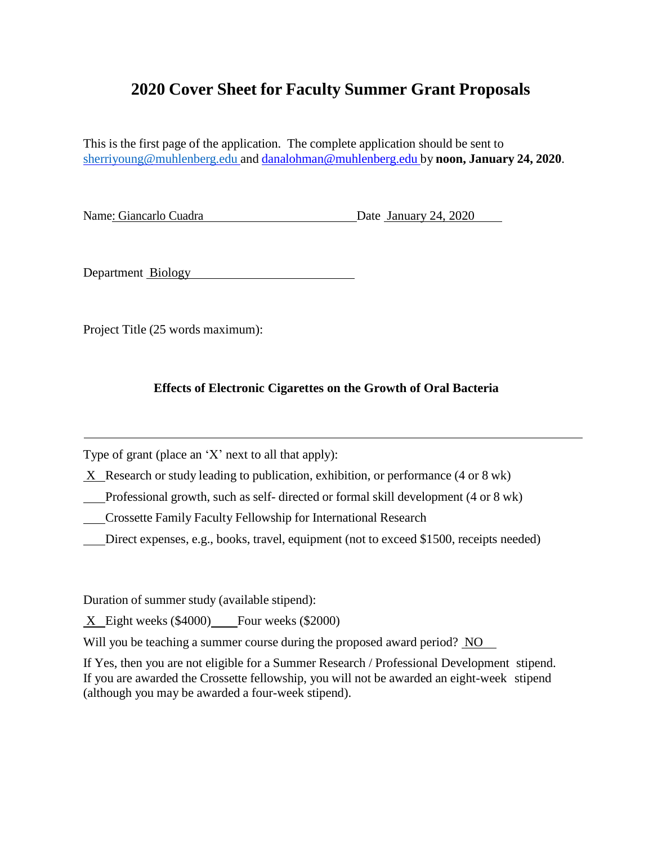# **2020 Cover Sheet for Faculty Summer Grant Proposals**

This is the first page of the application. The complete application should be sent to [sherriyoung@muhlenberg.edu](mailto:sherriyoung@muhlenberg.edu) and [danalohman@muhlenberg.edu](mailto:danalohman@muhlenberg.edu) by **noon, January 24, 2020**.

Name: Giancarlo Cuadra Date January 24, 2020

Department Biology

Project Title (25 words maximum):

# **Effects of Electronic Cigarettes on the Growth of Oral Bacteria**

Type of grant (place an 'X' next to all that apply):

X Research or study leading to publication, exhibition, or performance (4 or 8 wk)

Professional growth, such as self- directed or formal skill development (4 or 8 wk)

Crossette Family Faculty Fellowship for International Research

Direct expenses, e.g., books, travel, equipment (not to exceed \$1500, receipts needed)

Duration of summer study (available stipend):

X Eight weeks (\$4000) Four weeks (\$2000)

Will you be teaching a summer course during the proposed award period? NO

If Yes, then you are not eligible for a Summer Research / Professional Development stipend. If you are awarded the Crossette fellowship, you will not be awarded an eight-week stipend (although you may be awarded a four-week stipend).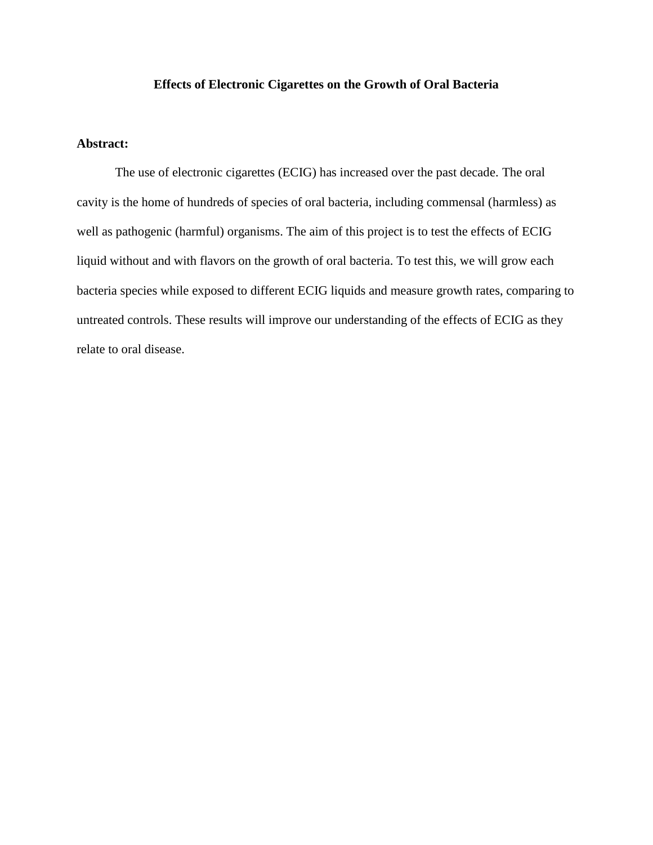# **Effects of Electronic Cigarettes on the Growth of Oral Bacteria**

# **Abstract:**

The use of electronic cigarettes (ECIG) has increased over the past decade. The oral cavity is the home of hundreds of species of oral bacteria, including commensal (harmless) as well as pathogenic (harmful) organisms. The aim of this project is to test the effects of ECIG liquid without and with flavors on the growth of oral bacteria. To test this, we will grow each bacteria species while exposed to different ECIG liquids and measure growth rates, comparing to untreated controls. These results will improve our understanding of the effects of ECIG as they relate to oral disease.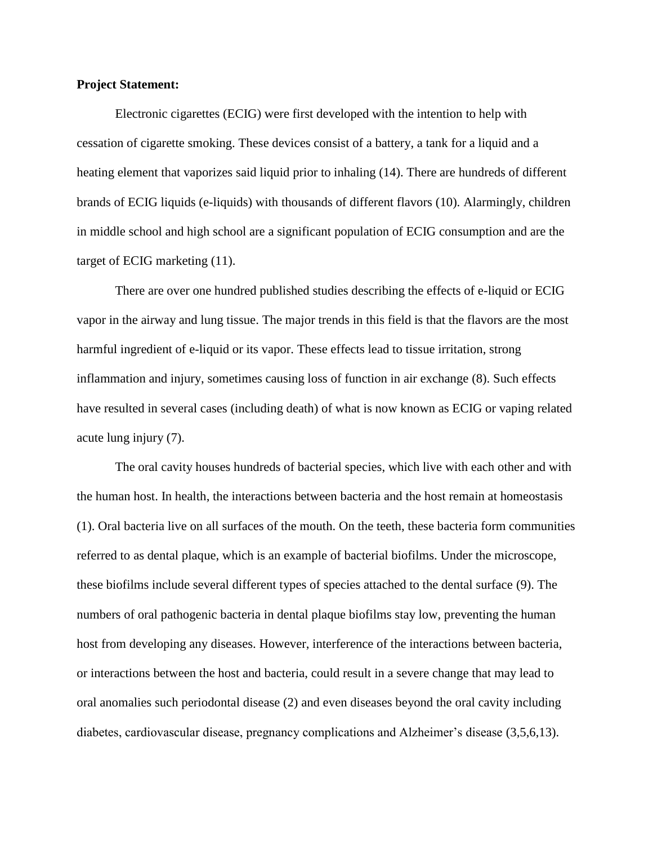## **Project Statement:**

Electronic cigarettes (ECIG) were first developed with the intention to help with cessation of cigarette smoking. These devices consist of a battery, a tank for a liquid and a heating element that vaporizes said liquid prior to inhaling (14). There are hundreds of different brands of ECIG liquids (e-liquids) with thousands of different flavors (10). Alarmingly, children in middle school and high school are a significant population of ECIG consumption and are the target of ECIG marketing (11).

There are over one hundred published studies describing the effects of e-liquid or ECIG vapor in the airway and lung tissue. The major trends in this field is that the flavors are the most harmful ingredient of e-liquid or its vapor. These effects lead to tissue irritation, strong inflammation and injury, sometimes causing loss of function in air exchange (8). Such effects have resulted in several cases (including death) of what is now known as ECIG or vaping related acute lung injury (7).

The oral cavity houses hundreds of bacterial species, which live with each other and with the human host. In health, the interactions between bacteria and the host remain at homeostasis (1). Oral bacteria live on all surfaces of the mouth. On the teeth, these bacteria form communities referred to as dental plaque, which is an example of bacterial biofilms. Under the microscope, these biofilms include several different types of species attached to the dental surface (9). The numbers of oral pathogenic bacteria in dental plaque biofilms stay low, preventing the human host from developing any diseases. However, interference of the interactions between bacteria, or interactions between the host and bacteria, could result in a severe change that may lead to oral anomalies such periodontal disease (2) and even diseases beyond the oral cavity including diabetes, cardiovascular disease, pregnancy complications and Alzheimer's disease (3,5,6,13).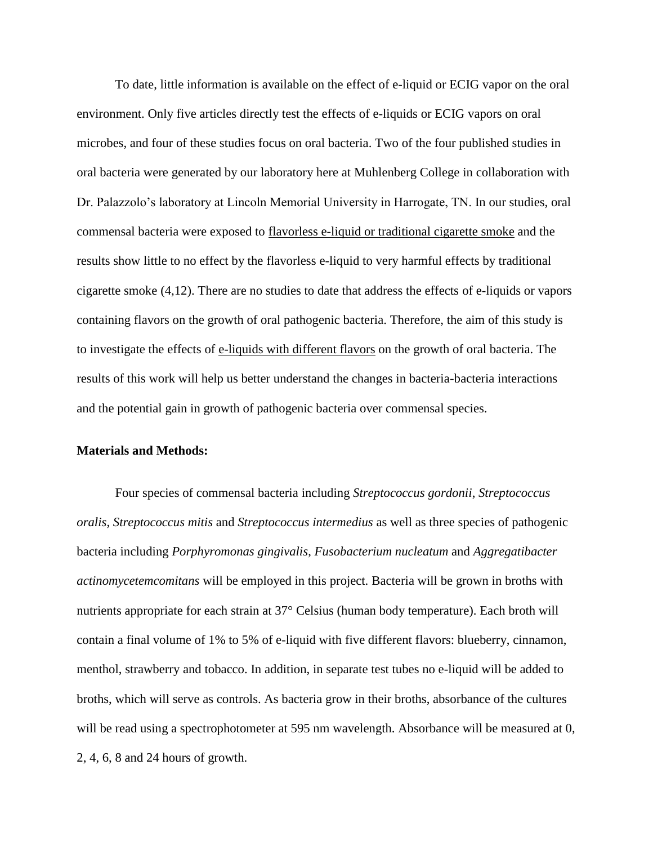To date, little information is available on the effect of e-liquid or ECIG vapor on the oral environment. Only five articles directly test the effects of e-liquids or ECIG vapors on oral microbes, and four of these studies focus on oral bacteria. Two of the four published studies in oral bacteria were generated by our laboratory here at Muhlenberg College in collaboration with Dr. Palazzolo's laboratory at Lincoln Memorial University in Harrogate, TN. In our studies, oral commensal bacteria were exposed to flavorless e-liquid or traditional cigarette smoke and the results show little to no effect by the flavorless e-liquid to very harmful effects by traditional cigarette smoke (4,12). There are no studies to date that address the effects of e-liquids or vapors containing flavors on the growth of oral pathogenic bacteria. Therefore, the aim of this study is to investigate the effects of e-liquids with different flavors on the growth of oral bacteria. The results of this work will help us better understand the changes in bacteria-bacteria interactions and the potential gain in growth of pathogenic bacteria over commensal species.

## **Materials and Methods:**

Four species of commensal bacteria including *Streptococcus gordonii*, *Streptococcus oralis*, *Streptococcus mitis* and *Streptococcus intermedius* as well as three species of pathogenic bacteria including *Porphyromonas gingivalis*, *Fusobacterium nucleatum* and *Aggregatibacter actinomycetemcomitans* will be employed in this project. Bacteria will be grown in broths with nutrients appropriate for each strain at 37° Celsius (human body temperature). Each broth will contain a final volume of 1% to 5% of e-liquid with five different flavors: blueberry, cinnamon, menthol, strawberry and tobacco. In addition, in separate test tubes no e-liquid will be added to broths, which will serve as controls. As bacteria grow in their broths, absorbance of the cultures will be read using a spectrophotometer at 595 nm wavelength. Absorbance will be measured at 0, 2, 4, 6, 8 and 24 hours of growth.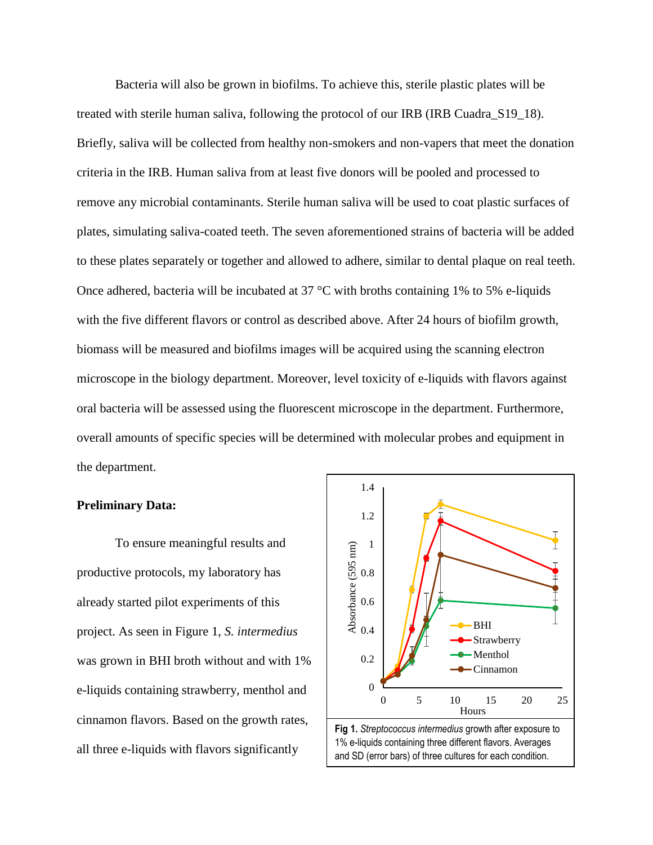Bacteria will also be grown in biofilms. To achieve this, sterile plastic plates will be treated with sterile human saliva, following the protocol of our IRB (IRB Cuadra\_S19\_18). Briefly, saliva will be collected from healthy non-smokers and non-vapers that meet the donation criteria in the IRB. Human saliva from at least five donors will be pooled and processed to remove any microbial contaminants. Sterile human saliva will be used to coat plastic surfaces of plates, simulating saliva-coated teeth. The seven aforementioned strains of bacteria will be added to these plates separately or together and allowed to adhere, similar to dental plaque on real teeth. Once adhered, bacteria will be incubated at 37  $\degree$ C with broths containing 1% to 5% e-liquids with the five different flavors or control as described above. After 24 hours of biofilm growth, biomass will be measured and biofilms images will be acquired using the scanning electron microscope in the biology department. Moreover, level toxicity of e-liquids with flavors against oral bacteria will be assessed using the fluorescent microscope in the department. Furthermore, overall amounts of specific species will be determined with molecular probes and equipment in the department.

#### **Preliminary Data:**

To ensure meaningful results and productive protocols, my laboratory has already started pilot experiments of this project. As seen in Figure 1, *S. intermedius* was grown in BHI broth without and with 1% e-liquids containing strawberry, menthol and cinnamon flavors. Based on the growth rates, all three e-liquids with flavors significantly

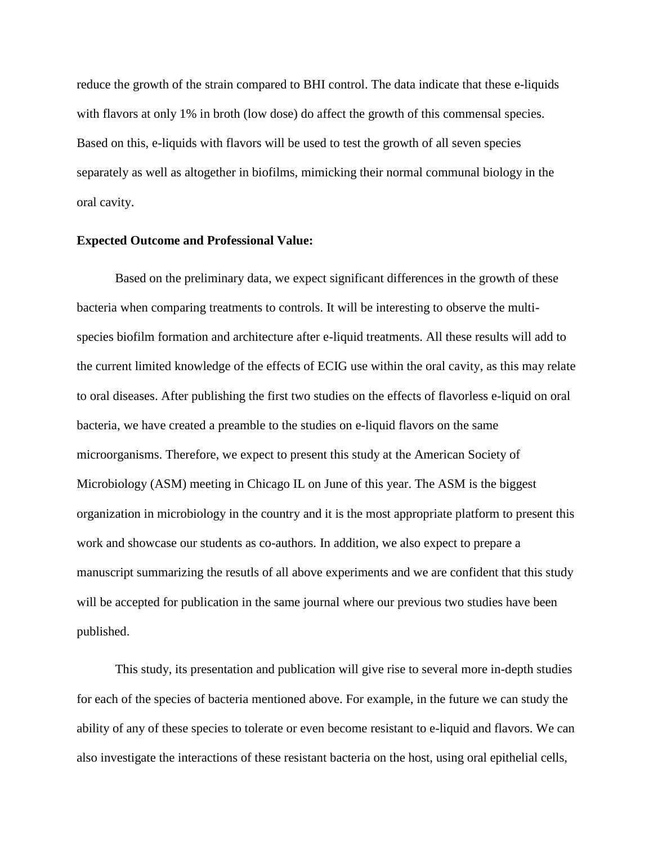reduce the growth of the strain compared to BHI control. The data indicate that these e-liquids with flavors at only 1% in broth (low dose) do affect the growth of this commensal species. Based on this, e-liquids with flavors will be used to test the growth of all seven species separately as well as altogether in biofilms, mimicking their normal communal biology in the oral cavity.

## **Expected Outcome and Professional Value:**

Based on the preliminary data, we expect significant differences in the growth of these bacteria when comparing treatments to controls. It will be interesting to observe the multispecies biofilm formation and architecture after e-liquid treatments. All these results will add to the current limited knowledge of the effects of ECIG use within the oral cavity, as this may relate to oral diseases. After publishing the first two studies on the effects of flavorless e-liquid on oral bacteria, we have created a preamble to the studies on e-liquid flavors on the same microorganisms. Therefore, we expect to present this study at the American Society of Microbiology (ASM) meeting in Chicago IL on June of this year. The ASM is the biggest organization in microbiology in the country and it is the most appropriate platform to present this work and showcase our students as co-authors. In addition, we also expect to prepare a manuscript summarizing the resutls of all above experiments and we are confident that this study will be accepted for publication in the same journal where our previous two studies have been published.

This study, its presentation and publication will give rise to several more in-depth studies for each of the species of bacteria mentioned above. For example, in the future we can study the ability of any of these species to tolerate or even become resistant to e-liquid and flavors. We can also investigate the interactions of these resistant bacteria on the host, using oral epithelial cells,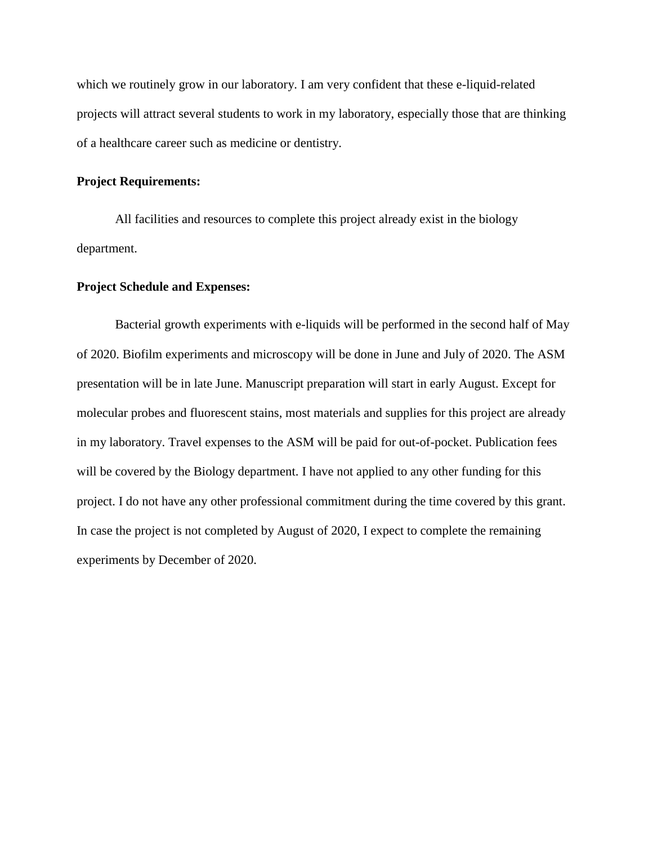which we routinely grow in our laboratory. I am very confident that these e-liquid-related projects will attract several students to work in my laboratory, especially those that are thinking of a healthcare career such as medicine or dentistry.

## **Project Requirements:**

All facilities and resources to complete this project already exist in the biology department.

## **Project Schedule and Expenses:**

Bacterial growth experiments with e-liquids will be performed in the second half of May of 2020. Biofilm experiments and microscopy will be done in June and July of 2020. The ASM presentation will be in late June. Manuscript preparation will start in early August. Except for molecular probes and fluorescent stains, most materials and supplies for this project are already in my laboratory. Travel expenses to the ASM will be paid for out-of-pocket. Publication fees will be covered by the Biology department. I have not applied to any other funding for this project. I do not have any other professional commitment during the time covered by this grant. In case the project is not completed by August of 2020, I expect to complete the remaining experiments by December of 2020.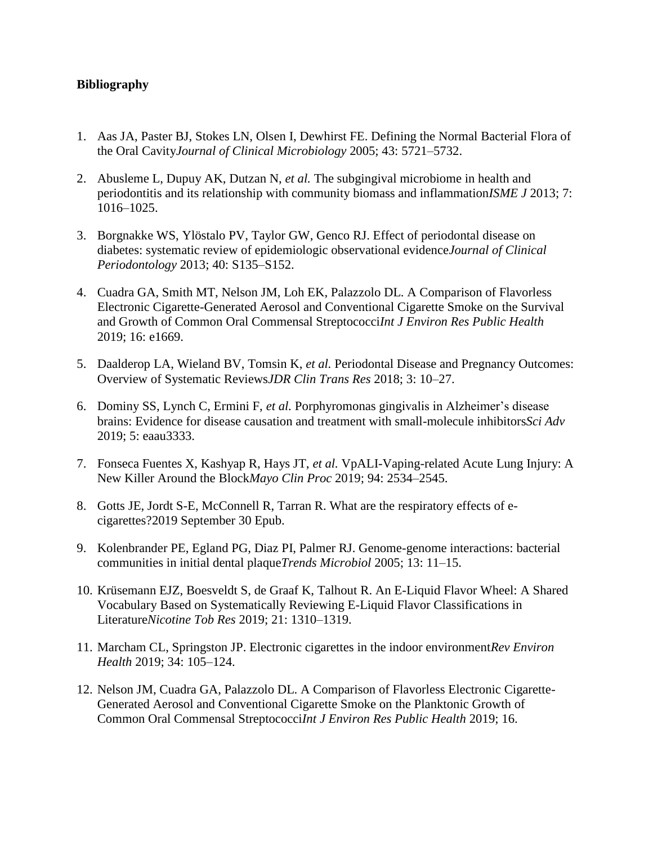# **Bibliography**

- 1. Aas JA, Paster BJ, Stokes LN, Olsen I, Dewhirst FE. Defining the Normal Bacterial Flora of the Oral Cavity*Journal of Clinical Microbiology* 2005; 43: 5721–5732.
- 2. Abusleme L, Dupuy AK, Dutzan N, *et al.* The subgingival microbiome in health and periodontitis and its relationship with community biomass and inflammation*ISME J* 2013; 7: 1016–1025.
- 3. Borgnakke WS, Ylöstalo PV, Taylor GW, Genco RJ. Effect of periodontal disease on diabetes: systematic review of epidemiologic observational evidence*Journal of Clinical Periodontology* 2013; 40: S135–S152.
- 4. Cuadra GA, Smith MT, Nelson JM, Loh EK, Palazzolo DL. A Comparison of Flavorless Electronic Cigarette-Generated Aerosol and Conventional Cigarette Smoke on the Survival and Growth of Common Oral Commensal Streptococci*Int J Environ Res Public Health* 2019; 16: e1669.
- 5. Daalderop LA, Wieland BV, Tomsin K, *et al.* Periodontal Disease and Pregnancy Outcomes: Overview of Systematic Reviews*JDR Clin Trans Res* 2018; 3: 10–27.
- 6. Dominy SS, Lynch C, Ermini F, *et al.* Porphyromonas gingivalis in Alzheimer's disease brains: Evidence for disease causation and treatment with small-molecule inhibitors*Sci Adv* 2019; 5: eaau3333.
- 7. Fonseca Fuentes X, Kashyap R, Hays JT, *et al.* VpALI-Vaping-related Acute Lung Injury: A New Killer Around the Block*Mayo Clin Proc* 2019; 94: 2534–2545.
- 8. Gotts JE, Jordt S-E, McConnell R, Tarran R. What are the respiratory effects of ecigarettes?2019 September 30 Epub.
- 9. Kolenbrander PE, Egland PG, Diaz PI, Palmer RJ. Genome-genome interactions: bacterial communities in initial dental plaque*Trends Microbiol* 2005; 13: 11–15.
- 10. Krüsemann EJZ, Boesveldt S, de Graaf K, Talhout R. An E-Liquid Flavor Wheel: A Shared Vocabulary Based on Systematically Reviewing E-Liquid Flavor Classifications in Literature*Nicotine Tob Res* 2019; 21: 1310–1319.
- 11. Marcham CL, Springston JP. Electronic cigarettes in the indoor environment*Rev Environ Health* 2019; 34: 105–124.
- 12. Nelson JM, Cuadra GA, Palazzolo DL. A Comparison of Flavorless Electronic Cigarette-Generated Aerosol and Conventional Cigarette Smoke on the Planktonic Growth of Common Oral Commensal Streptococci*Int J Environ Res Public Health* 2019; 16.